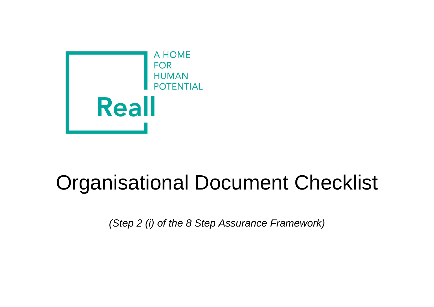

## Organisational Document Checklist

*(Step 2 (i) of the 8 Step Assurance Framework)*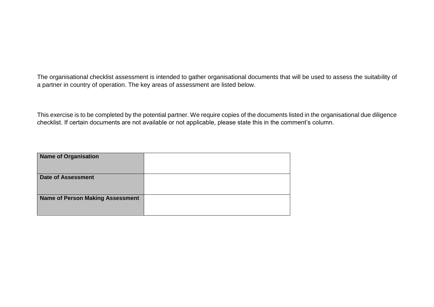The organisational checklist assessment is intended to gather organisational documents that will be used to assess the suitability of a partner in country of operation. The key areas of assessment are listed below.

This exercise is to be completed by the potential partner. We require copies of the documents listed in the organisational due diligence checklist. If certain documents are not available or not applicable, please state this in the comment's column.

| <b>Name of Organisation</b>             |  |
|-----------------------------------------|--|
| <b>Date of Assessment</b>               |  |
| <b>Name of Person Making Assessment</b> |  |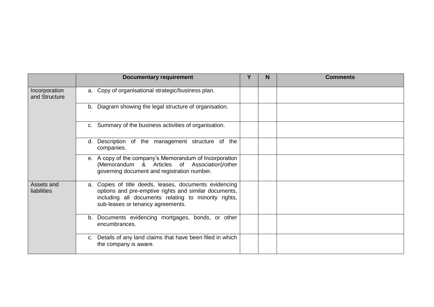|                                | <b>Documentary requirement</b>                                                                                                                                                                               | Y | N | <b>Comments</b> |
|--------------------------------|--------------------------------------------------------------------------------------------------------------------------------------------------------------------------------------------------------------|---|---|-----------------|
| Incorporation<br>and Structure | a. Copy of organisational strategic/business plan.                                                                                                                                                           |   |   |                 |
|                                | b. Diagram showing the legal structure of organisation.                                                                                                                                                      |   |   |                 |
|                                | c. Summary of the business activities of organisation.                                                                                                                                                       |   |   |                 |
|                                | Description of the management structure of the<br>d.<br>companies.                                                                                                                                           |   |   |                 |
|                                | e. A copy of the company's Memorandum of Incorporation<br>(Memorandum & Articles of Association)/other<br>governing document and registration number.                                                        |   |   |                 |
| Assets and<br>liabilities      | a. Copies of title deeds, leases, documents evidencing<br>options and pre-emptive rights and similar documents,<br>including all documents relating to minority rights,<br>sub-leases or tenancy agreements. |   |   |                 |
|                                | Documents evidencing mortgages, bonds, or other<br>b.<br>encumbrances.                                                                                                                                       |   |   |                 |
|                                | c. Details of any land claims that have been filed in which<br>the company is aware.                                                                                                                         |   |   |                 |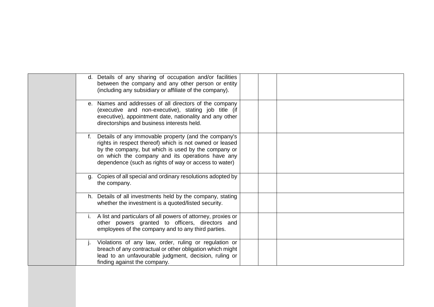|    | d. Details of any sharing of occupation and/or facilities<br>between the company and any other person or entity<br>(including any subsidiary or affiliate of the company).                                                                                                          |  |
|----|-------------------------------------------------------------------------------------------------------------------------------------------------------------------------------------------------------------------------------------------------------------------------------------|--|
|    | e. Names and addresses of all directors of the company<br>(executive and non-executive), stating job title (if<br>executive), appointment date, nationality and any other<br>directorships and business interests held.                                                             |  |
|    | Details of any immovable property (and the company's<br>rights in respect thereof) which is not owned or leased<br>by the company, but which is used by the company or<br>on which the company and its operations have any<br>dependence (such as rights of way or access to water) |  |
| a. | Copies of all special and ordinary resolutions adopted by<br>the company.                                                                                                                                                                                                           |  |
|    | h. Details of all investments held by the company, stating<br>whether the investment is a quoted/listed security.                                                                                                                                                                   |  |
|    | A list and particulars of all powers of attorney, proxies or<br>other powers granted to officers, directors and<br>employees of the company and to any third parties.                                                                                                               |  |
|    | Violations of any law, order, ruling or regulation or<br>breach of any contractual or other obligation which might<br>lead to an unfavourable judgment, decision, ruling or<br>finding against the company.                                                                         |  |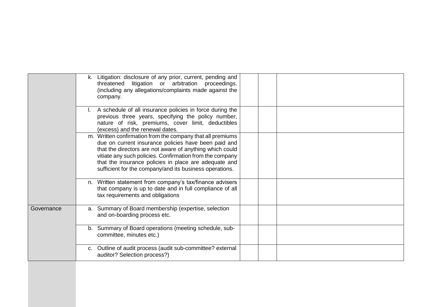|            | k. Litigation: disclosure of any prior, current, pending and<br>threatened litigation or arbitration proceedings.<br>(including any allegations/complaints made against the<br>company.                                                                                                                                                                        |
|------------|----------------------------------------------------------------------------------------------------------------------------------------------------------------------------------------------------------------------------------------------------------------------------------------------------------------------------------------------------------------|
|            | A schedule of all insurance policies in force during the<br>previous three years, specifying the policy number,<br>nature of risk, premiums, cover limit, deductibles<br>(excess) and the renewal dates.                                                                                                                                                       |
|            | m. Written confirmation from the company that all premiums<br>due on current insurance policies have been paid and<br>that the directors are not aware of anything which could<br>vitiate any such policies. Confirmation from the company<br>that the insurance policies in place are adequate and<br>sufficient for the company/and its business operations. |
|            | n. Written statement from company's tax/finance advisers<br>that company is up to date and in full compliance of all<br>tax requirements and obligations                                                                                                                                                                                                       |
| Governance | a. Summary of Board membership (expertise, selection<br>and on-boarding process etc.                                                                                                                                                                                                                                                                           |
|            | b. Summary of Board operations (meeting schedule, sub-<br>committee, minutes etc.)                                                                                                                                                                                                                                                                             |
|            | c. Outline of audit process (audit sub-committee? external<br>auditor? Selection process?)                                                                                                                                                                                                                                                                     |